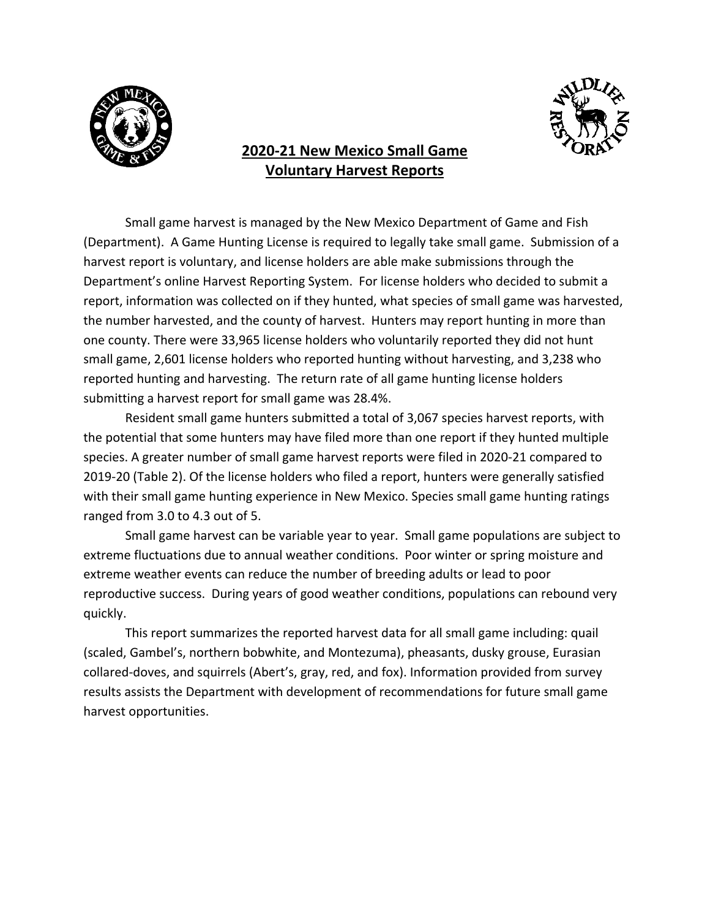

# **2020-21 New Mexico Small Game Voluntary Harvest Reports**



Small game harvest is managed by the New Mexico Department of Game and Fish (Department). A Game Hunting License is required to legally take small game. Submission of a harvest report is voluntary, and license holders are able make submissions through the Department's online Harvest Reporting System. For license holders who decided to submit a report, information was collected on if they hunted, what species of small game was harvested, the number harvested, and the county of harvest. Hunters may report hunting in more than one county. There were 33,965 license holders who voluntarily reported they did not hunt small game, 2,601 license holders who reported hunting without harvesting, and 3,238 who reported hunting and harvesting. The return rate of all game hunting license holders submitting a harvest report for small game was 28.4%.

Resident small game hunters submitted a total of 3,067 species harvest reports, with the potential that some hunters may have filed more than one report if they hunted multiple species. A greater number of small game harvest reports were filed in 2020-21 compared to 2019-20 (Table 2). Of the license holders who filed a report, hunters were generally satisfied with their small game hunting experience in New Mexico. Species small game hunting ratings ranged from 3.0 to 4.3 out of 5.

Small game harvest can be variable year to year. Small game populations are subject to extreme fluctuations due to annual weather conditions. Poor winter or spring moisture and extreme weather events can reduce the number of breeding adults or lead to poor reproductive success. During years of good weather conditions, populations can rebound very quickly.

This report summarizes the reported harvest data for all small game including: quail (scaled, Gambel's, northern bobwhite, and Montezuma), pheasants, dusky grouse, Eurasian collared-doves, and squirrels (Abert's, gray, red, and fox). Information provided from survey results assists the Department with development of recommendations for future small game harvest opportunities.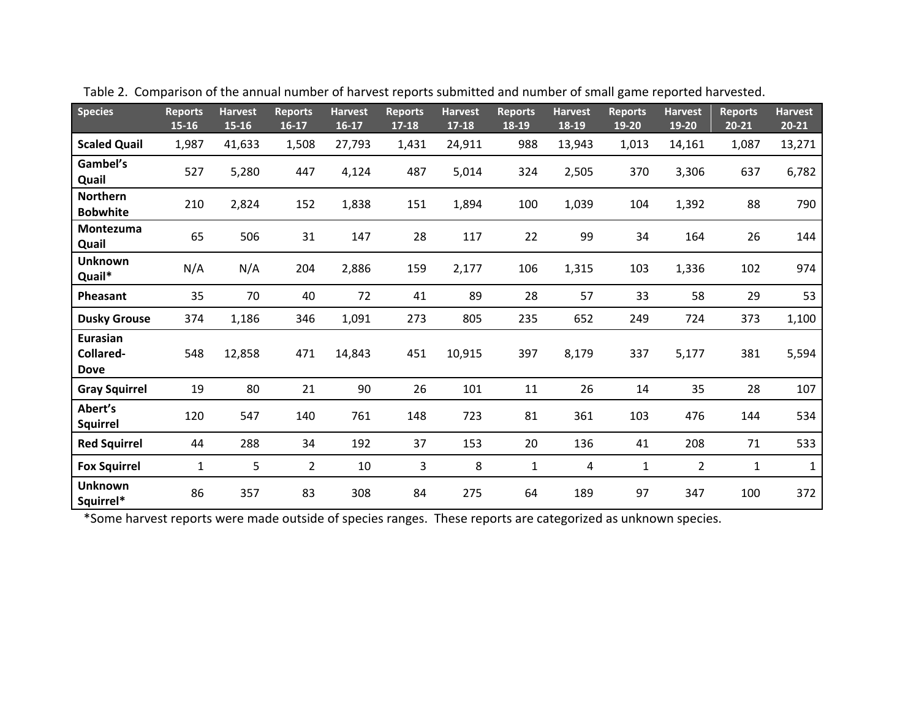| <b>Species</b>                       | <b>Reports</b><br>$15 - 16$ | <b>Harvest</b><br>$15 - 16$ | <b>Reports</b><br>$16-17$ | <b>Harvest</b><br>$16-17$ | <b>Reports</b><br>$17 - 18$ | <b>Harvest</b><br>17-18 | <b>Reports</b><br>18-19 | <b>Harvest</b><br>18-19 | <b>Reports</b><br>19-20 | <b>Harvest</b><br>19-20 | <b>Reports</b><br>$20 - 21$ | <b>Harvest</b><br>$20 - 21$ |
|--------------------------------------|-----------------------------|-----------------------------|---------------------------|---------------------------|-----------------------------|-------------------------|-------------------------|-------------------------|-------------------------|-------------------------|-----------------------------|-----------------------------|
| <b>Scaled Quail</b>                  | 1,987                       | 41,633                      | 1,508                     | 27,793                    | 1,431                       | 24,911                  | 988                     | 13,943                  | 1,013                   | 14,161                  | 1,087                       | 13,271                      |
| Gambel's<br>Quail                    | 527                         | 5,280                       | 447                       | 4,124                     | 487                         | 5,014                   | 324                     | 2,505                   | 370                     | 3,306                   | 637                         | 6,782                       |
| <b>Northern</b><br><b>Bobwhite</b>   | 210                         | 2,824                       | 152                       | 1,838                     | 151                         | 1,894                   | 100                     | 1,039                   | 104                     | 1,392                   | 88                          | 790                         |
| Montezuma<br>Quail                   | 65                          | 506                         | 31                        | 147                       | 28                          | 117                     | 22                      | 99                      | 34                      | 164                     | 26                          | 144                         |
| <b>Unknown</b><br>Quail*             | N/A                         | N/A                         | 204                       | 2,886                     | 159                         | 2,177                   | 106                     | 1,315                   | 103                     | 1,336                   | 102                         | 974                         |
| Pheasant                             | 35                          | 70                          | 40                        | 72                        | 41                          | 89                      | 28                      | 57                      | 33                      | 58                      | 29                          | 53                          |
| <b>Dusky Grouse</b>                  | 374                         | 1,186                       | 346                       | 1,091                     | 273                         | 805                     | 235                     | 652                     | 249                     | 724                     | 373                         | 1,100                       |
| Eurasian<br>Collared-<br><b>Dove</b> | 548                         | 12,858                      | 471                       | 14,843                    | 451                         | 10,915                  | 397                     | 8,179                   | 337                     | 5,177                   | 381                         | 5,594                       |
| <b>Gray Squirrel</b>                 | 19                          | 80                          | 21                        | 90                        | 26                          | 101                     | $11\,$                  | 26                      | 14                      | 35                      | 28                          | 107                         |
| Abert's<br><b>Squirrel</b>           | 120                         | 547                         | 140                       | 761                       | 148                         | 723                     | 81                      | 361                     | 103                     | 476                     | 144                         | 534                         |
| <b>Red Squirrel</b>                  | 44                          | 288                         | 34                        | 192                       | 37                          | 153                     | 20                      | 136                     | 41                      | 208                     | 71                          | 533                         |
| <b>Fox Squirrel</b>                  | $\mathbf{1}$                | 5                           | $\overline{2}$            | 10                        | 3                           | 8                       | $\mathbf{1}$            | 4                       | $\mathbf{1}$            | $\overline{2}$          | $\mathbf{1}$                | $\mathbf{1}$                |
| <b>Unknown</b><br>Squirrel*          | 86                          | 357                         | 83                        | 308                       | 84                          | 275                     | 64                      | 189                     | 97                      | 347                     | 100                         | 372                         |

Table 2. Comparison of the annual number of harvest reports submitted and number of small game reported harvested.

\*Some harvest reports were made outside of species ranges. These reports are categorized as unknown species.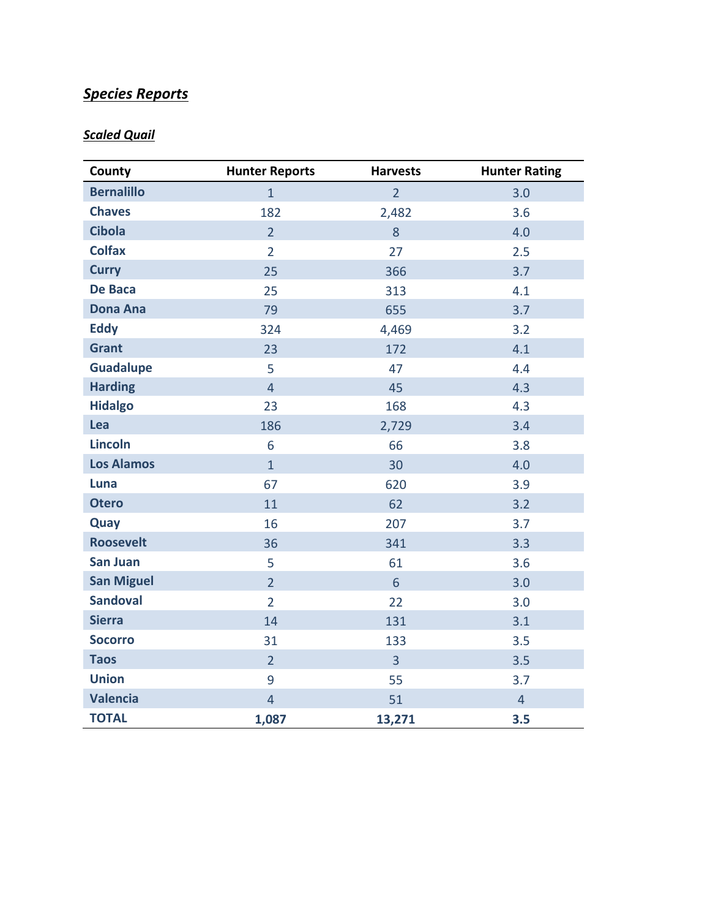# *Species Reports*

# *Scaled Quail*

| County            | <b>Hunter Reports</b> | <b>Harvests</b> | <b>Hunter Rating</b> |
|-------------------|-----------------------|-----------------|----------------------|
| <b>Bernalillo</b> | $\mathbf{1}$          | $\overline{2}$  | 3.0                  |
| <b>Chaves</b>     | 182                   | 2,482           | 3.6                  |
| <b>Cibola</b>     | $\overline{2}$        | 8               | 4.0                  |
| <b>Colfax</b>     | $\overline{2}$        | 27              | 2.5                  |
| <b>Curry</b>      | 25                    | 366             | 3.7                  |
| De Baca           | 25                    | 313             | 4.1                  |
| <b>Dona Ana</b>   | 79                    | 655             | 3.7                  |
| <b>Eddy</b>       | 324                   | 4,469           | 3.2                  |
| <b>Grant</b>      | 23                    | 172             | 4.1                  |
| <b>Guadalupe</b>  | 5                     | 47              | 4.4                  |
| <b>Harding</b>    | $\overline{4}$        | 45              | 4.3                  |
| <b>Hidalgo</b>    | 23                    | 168             | 4.3                  |
| Lea               | 186                   | 2,729           | 3.4                  |
| <b>Lincoln</b>    | 6                     | 66              | 3.8                  |
| <b>Los Alamos</b> | $\mathbf{1}$          | 30              | 4.0                  |
| Luna              | 67                    | 620             | 3.9                  |
| <b>Otero</b>      | 11                    | 62              | 3.2                  |
| Quay              | 16                    | 207             | 3.7                  |
| <b>Roosevelt</b>  | 36                    | 341             | 3.3                  |
| <b>San Juan</b>   | 5                     | 61              | 3.6                  |
| <b>San Miguel</b> | $\overline{2}$        | 6               | 3.0                  |
| <b>Sandoval</b>   | $\overline{2}$        | 22              | 3.0                  |
| <b>Sierra</b>     | 14                    | 131             | 3.1                  |
| <b>Socorro</b>    | 31                    | 133             | 3.5                  |
| <b>Taos</b>       | $\overline{2}$        | 3               | 3.5                  |
| <b>Union</b>      | 9                     | 55              | 3.7                  |
| <b>Valencia</b>   | $\overline{4}$        | 51              | $\overline{4}$       |
| <b>TOTAL</b>      | 1,087                 | 13,271          | 3.5                  |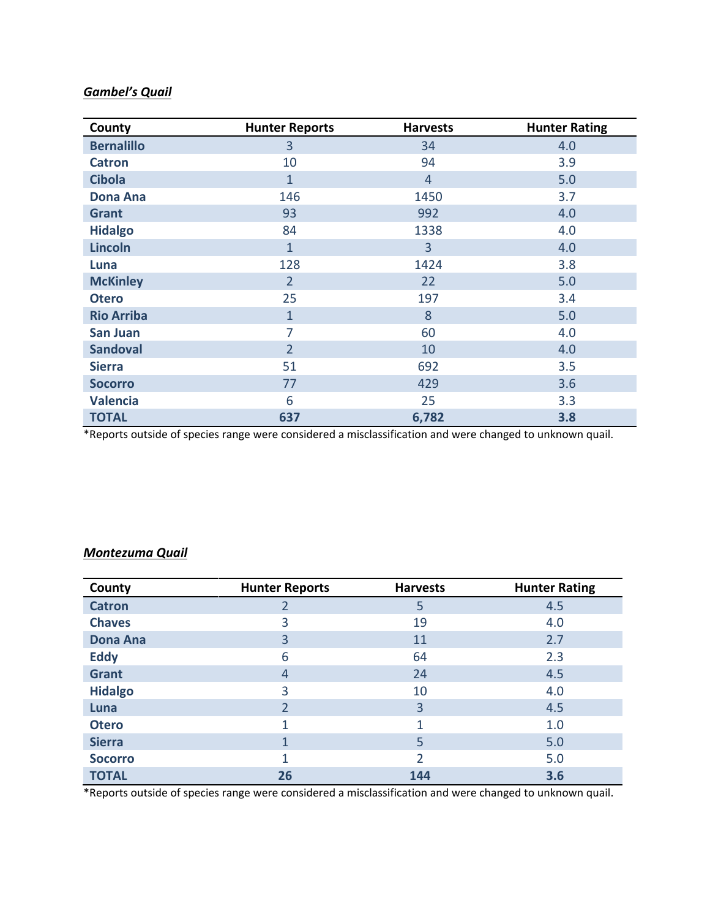## *Gambel's Quail*

| County            | <b>Hunter Reports</b> | <b>Harvests</b> | <b>Hunter Rating</b> |
|-------------------|-----------------------|-----------------|----------------------|
| <b>Bernalillo</b> | 3                     | 34              | 4.0                  |
| <b>Catron</b>     | 10                    | 94              | 3.9                  |
| <b>Cibola</b>     | $\mathbf{1}$          | $\overline{4}$  | 5.0                  |
| <b>Dona Ana</b>   | 146                   | 1450            | 3.7                  |
| <b>Grant</b>      | 93                    | 992             | 4.0                  |
| <b>Hidalgo</b>    | 84                    | 1338            | 4.0                  |
| <b>Lincoln</b>    | $\mathbf{1}$          | $\overline{3}$  | 4.0                  |
| Luna              | 128                   | 1424            | 3.8                  |
| <b>McKinley</b>   | $\overline{2}$        | 22              | 5.0                  |
| <b>Otero</b>      | 25                    | 197             | 3.4                  |
| <b>Rio Arriba</b> | $\mathbf{1}$          | 8               | 5.0                  |
| <b>San Juan</b>   | 7                     | 60              | 4.0                  |
| <b>Sandoval</b>   | $\overline{2}$        | 10              | 4.0                  |
| <b>Sierra</b>     | 51                    | 692             | 3.5                  |
| <b>Socorro</b>    | 77                    | 429             | 3.6                  |
| <b>Valencia</b>   | 6                     | 25              | 3.3                  |
| <b>TOTAL</b>      | 637                   | 6,782           | 3.8                  |

\*Reports outside of species range were considered a misclassification and were changed to unknown quail.

#### *Montezuma Quail*

| County          | <b>Hunter Reports</b> | <b>Harvests</b> | <b>Hunter Rating</b> |
|-----------------|-----------------------|-----------------|----------------------|
| <b>Catron</b>   | 2                     | 5               | 4.5                  |
| <b>Chaves</b>   | 3                     | 19              | 4.0                  |
| <b>Dona Ana</b> | 3                     | 11              | 2.7                  |
| <b>Eddy</b>     | 6                     | 64              | 2.3                  |
| <b>Grant</b>    | 4                     | 24              | 4.5                  |
| <b>Hidalgo</b>  | 3                     | 10              | 4.0                  |
| Luna            | 2                     | 3               | 4.5                  |
| <b>Otero</b>    |                       | 1               | 1.0                  |
| <b>Sierra</b>   |                       | 5               | 5.0                  |
| <b>Socorro</b>  | 1                     | $\overline{2}$  | 5.0                  |
| <b>TOTAL</b>    | 26                    | 144             | 3.6                  |

\*Reports outside of species range were considered a misclassification and were changed to unknown quail.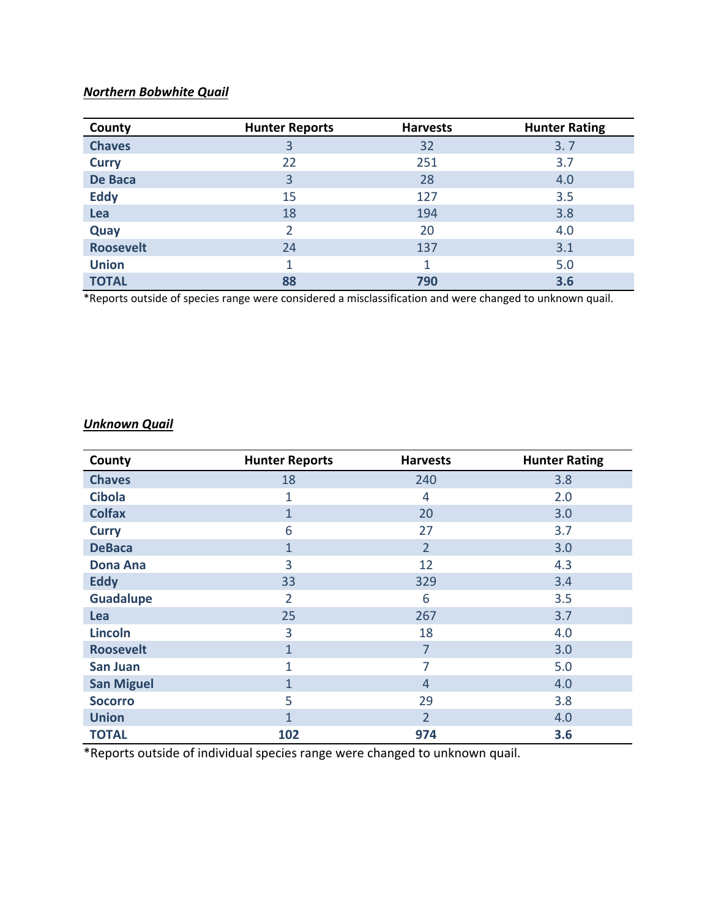# *Northern Bobwhite Quail*

| County           | <b>Hunter Reports</b> | <b>Harvests</b> | <b>Hunter Rating</b> |
|------------------|-----------------------|-----------------|----------------------|
| <b>Chaves</b>    | 3                     | 32              | 3.7                  |
| <b>Curry</b>     | 22                    | 251             | 3.7                  |
| De Baca          | 3                     | 28              | 4.0                  |
| <b>Eddy</b>      | 15                    | 127             | 3.5                  |
| Lea              | 18                    | 194             | 3.8                  |
| Quay             | 2                     | 20              | 4.0                  |
| <b>Roosevelt</b> | 24                    | 137             | 3.1                  |
| <b>Union</b>     | 1                     | 1               | 5.0                  |
| <b>TOTAL</b>     | 88                    | 790             | 3.6                  |

\*Reports outside of species range were considered a misclassification and were changed to unknown quail.

## *Unknown Quail*

| County            | <b>Hunter Reports</b> | <b>Harvests</b> | <b>Hunter Rating</b> |
|-------------------|-----------------------|-----------------|----------------------|
| <b>Chaves</b>     | 18                    | 240             | 3.8                  |
| <b>Cibola</b>     | $\mathbf{1}$          | 4               | 2.0                  |
| <b>Colfax</b>     | $\mathbf{1}$          | 20              | 3.0                  |
| <b>Curry</b>      | 6                     | 27              | 3.7                  |
| <b>DeBaca</b>     | $\mathbf{1}$          | $\overline{2}$  | 3.0                  |
| <b>Dona Ana</b>   | 3                     | 12              | 4.3                  |
| <b>Eddy</b>       | 33                    | 329             | 3.4                  |
| <b>Guadalupe</b>  | $\overline{2}$        | 6               | 3.5                  |
| Lea               | 25                    | 267             | 3.7                  |
| <b>Lincoln</b>    | 3                     | 18              | 4.0                  |
| <b>Roosevelt</b>  | $\mathbf{1}$          | $\overline{7}$  | 3.0                  |
| <b>San Juan</b>   | 1                     | 7               | 5.0                  |
| <b>San Miguel</b> | $\mathbf{1}$          | $\overline{4}$  | 4.0                  |
| <b>Socorro</b>    | 5                     | 29              | 3.8                  |
| <b>Union</b>      | $\mathbf{1}$          | $\overline{2}$  | 4.0                  |
| <b>TOTAL</b>      | 102                   | 974             | 3.6                  |

\*Reports outside of individual species range were changed to unknown quail.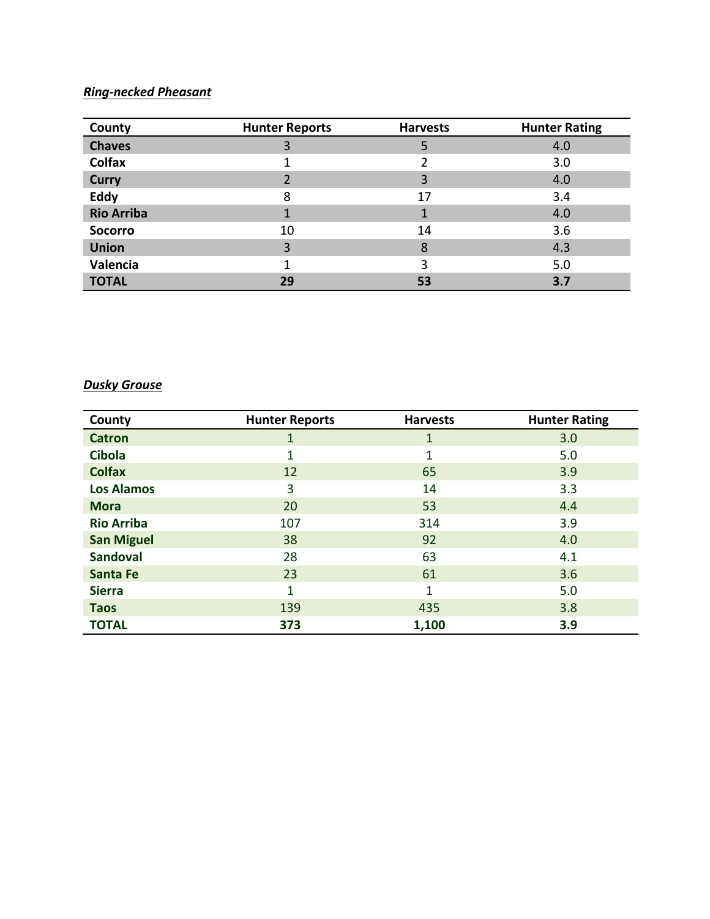# *Ring-necked Pheasant*

| County            | <b>Hunter Reports</b> | <b>Harvests</b> | <b>Hunter Rating</b> |
|-------------------|-----------------------|-----------------|----------------------|
| <b>Chaves</b>     | 3                     | 5               | 4.0                  |
| <b>Colfax</b>     |                       | 2               | 3.0                  |
| <b>Curry</b>      |                       | 3               | 4.0                  |
| <b>Eddy</b>       | 8                     | 17              | 3.4                  |
| <b>Rio Arriba</b> |                       | 1               | 4.0                  |
| <b>Socorro</b>    | 10                    | 14              | 3.6                  |
| <b>Union</b>      | 3                     | 8               | 4.3                  |
| Valencia          |                       | 3               | 5.0                  |
| <b>TOTAL</b>      | 29                    | 53              | 3.7                  |

### *Dusky Grouse*

| County            | <b>Hunter Reports</b> | <b>Harvests</b> | <b>Hunter Rating</b> |
|-------------------|-----------------------|-----------------|----------------------|
| <b>Catron</b>     | 1                     | 1               | 3.0                  |
| <b>Cibola</b>     | 1                     | 1               | 5.0                  |
| <b>Colfax</b>     | 12                    | 65              | 3.9                  |
| <b>Los Alamos</b> | 3                     | 14              | 3.3                  |
| <b>Mora</b>       | 20                    | 53              | 4.4                  |
| <b>Rio Arriba</b> | 107                   | 314             | 3.9                  |
| <b>San Miguel</b> | 38                    | 92              | 4.0                  |
| <b>Sandoval</b>   | 28                    | 63              | 4.1                  |
| <b>Santa Fe</b>   | 23                    | 61              | 3.6                  |
| <b>Sierra</b>     | 1                     | 1               | 5.0                  |
| <b>Taos</b>       | 139                   | 435             | 3.8                  |
| <b>TOTAL</b>      | 373                   | 1,100           | 3.9                  |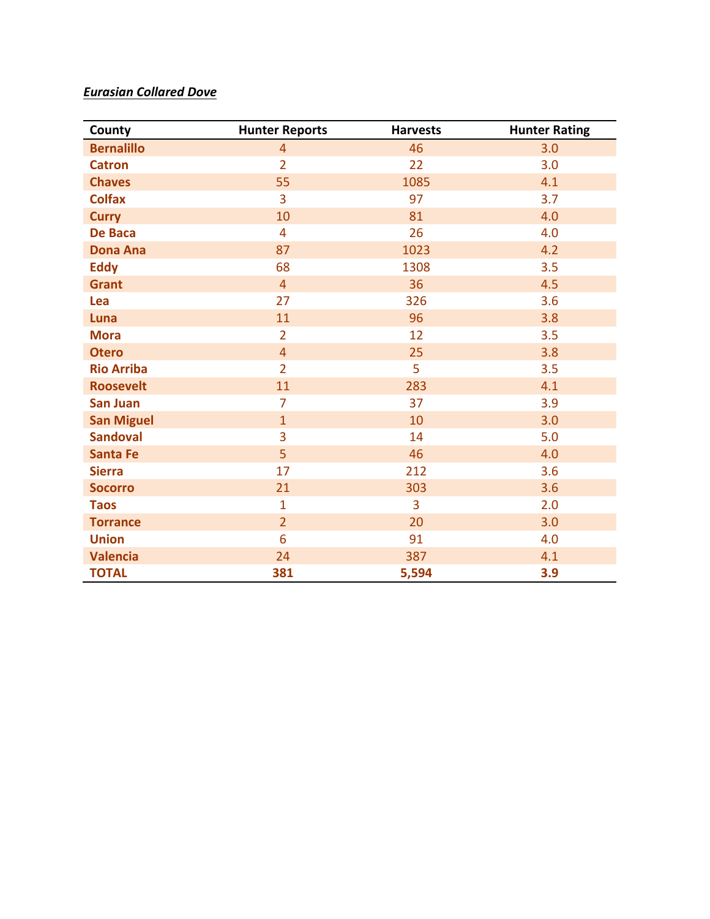# *Eurasian Collared Dove*

| County            | <b>Hunter Reports</b> | <b>Harvests</b> | <b>Hunter Rating</b> |
|-------------------|-----------------------|-----------------|----------------------|
| <b>Bernalillo</b> | $\overline{4}$        | 46              | 3.0                  |
| <b>Catron</b>     | $\overline{2}$        | 22              | 3.0                  |
| <b>Chaves</b>     | 55                    | 1085            | 4.1                  |
| <b>Colfax</b>     | 3                     | 97              | 3.7                  |
| <b>Curry</b>      | 10                    | 81              | 4.0                  |
| <b>De Baca</b>    | 4                     | 26              | 4.0                  |
| <b>Dona Ana</b>   | 87                    | 1023            | 4.2                  |
| <b>Eddy</b>       | 68                    | 1308            | 3.5                  |
| <b>Grant</b>      | $\overline{4}$        | 36              | 4.5                  |
| Lea               | 27                    | 326             | 3.6                  |
| Luna              | 11                    | 96              | 3.8                  |
| <b>Mora</b>       | $\overline{2}$        | 12              | 3.5                  |
| <b>Otero</b>      | $\overline{4}$        | 25              | 3.8                  |
| <b>Rio Arriba</b> | $\overline{2}$        | 5               | 3.5                  |
| <b>Roosevelt</b>  | 11                    | 283             | 4.1                  |
| <b>San Juan</b>   | $\overline{7}$        | 37              | 3.9                  |
| <b>San Miguel</b> | $\mathbf{1}$          | 10              | 3.0                  |
| <b>Sandoval</b>   | 3                     | 14              | 5.0                  |
| <b>Santa Fe</b>   | 5                     | 46              | 4.0                  |
| <b>Sierra</b>     | 17                    | 212             | 3.6                  |
| <b>Socorro</b>    | 21                    | 303             | 3.6                  |
| <b>Taos</b>       | $\mathbf{1}$          | 3               | 2.0                  |
| <b>Torrance</b>   | $\overline{2}$        | 20              | 3.0                  |
| <b>Union</b>      | 6                     | 91              | 4.0                  |
| <b>Valencia</b>   | 24                    | 387             | 4.1                  |
| <b>TOTAL</b>      | 381                   | 5,594           | 3.9                  |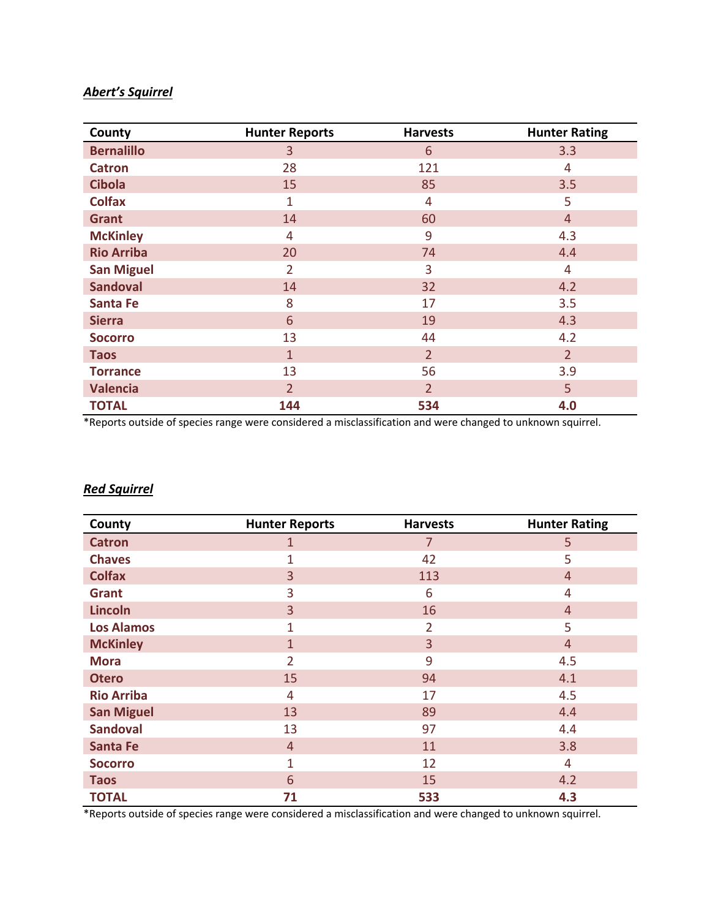### *Abert's Squirrel*

| County            | <b>Hunter Reports</b> | <b>Harvests</b> | <b>Hunter Rating</b> |
|-------------------|-----------------------|-----------------|----------------------|
| <b>Bernalillo</b> | 3                     | 6               | 3.3                  |
| <b>Catron</b>     | 28                    | 121             | 4                    |
| <b>Cibola</b>     | 15                    | 85              | 3.5                  |
| <b>Colfax</b>     | $\mathbf{1}$          | 4               | 5                    |
| <b>Grant</b>      | 14                    | 60              | $\overline{4}$       |
| <b>McKinley</b>   | 4                     | 9               | 4.3                  |
| <b>Rio Arriba</b> | 20                    | 74              | 4.4                  |
| <b>San Miguel</b> | $\overline{2}$        | 3               | 4                    |
| <b>Sandoval</b>   | 14                    | 32              | 4.2                  |
| <b>Santa Fe</b>   | 8                     | 17              | 3.5                  |
| <b>Sierra</b>     | 6                     | 19              | 4.3                  |
| <b>Socorro</b>    | 13                    | 44              | 4.2                  |
| <b>Taos</b>       | $\mathbf{1}$          | $\overline{2}$  | $\overline{2}$       |
| <b>Torrance</b>   | 13                    | 56              | 3.9                  |
| <b>Valencia</b>   | $\overline{2}$        | $\overline{2}$  | 5                    |
| <b>TOTAL</b>      | 144                   | 534             | 4.0                  |

\*Reports outside of species range were considered a misclassification and were changed to unknown squirrel.

#### *Red Squirrel*

| County            | <b>Hunter Reports</b> | <b>Harvests</b> | <b>Hunter Rating</b> |
|-------------------|-----------------------|-----------------|----------------------|
| <b>Catron</b>     | 1                     | 7               | 5                    |
| <b>Chaves</b>     | 1                     | 42              | 5                    |
| <b>Colfax</b>     | 3                     | 113             | $\overline{4}$       |
| Grant             | 3                     | 6               | 4                    |
| <b>Lincoln</b>    | 3                     | 16              | $\overline{4}$       |
| <b>Los Alamos</b> | $\mathbf{1}$          | $\overline{2}$  | 5                    |
| <b>McKinley</b>   | $\mathbf{1}$          | 3               | $\overline{4}$       |
| <b>Mora</b>       | 2                     | 9               | 4.5                  |
| <b>Otero</b>      | 15                    | 94              | 4.1                  |
| <b>Rio Arriba</b> | 4                     | 17              | 4.5                  |
| <b>San Miguel</b> | 13                    | 89              | 4.4                  |
| <b>Sandoval</b>   | 13                    | 97              | 4.4                  |
| <b>Santa Fe</b>   | $\overline{4}$        | 11              | 3.8                  |
| <b>Socorro</b>    | 1                     | 12              | 4                    |
| <b>Taos</b>       | 6                     | 15              | 4.2                  |
| <b>TOTAL</b>      | 71                    | 533             | 4.3                  |

\*Reports outside of species range were considered a misclassification and were changed to unknown squirrel.